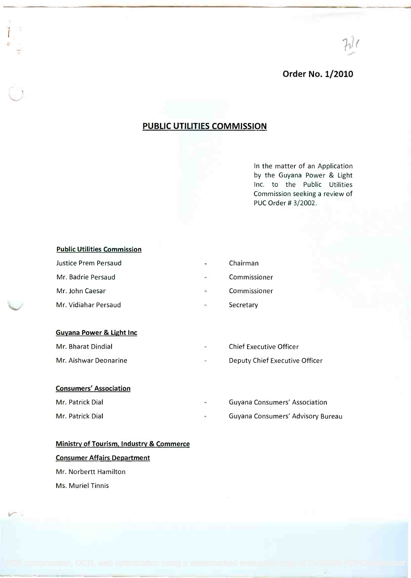$71/$ 

### Order No. 1/2010

## PUBLIC UTILITIES COMMISSION

In the matter of an Application In the matter of an Application by the Guyana Power & Light by the Guyana Power & Light Inc. to the Public Utilities Inc. to the Public Utilities Commission seeking a review of Commission seeking a review of PUC Order # 3/2002. PUC Order # 3/2002.

### Public Utilities Commission

| Justice Prem Persaud | $\overline{\mathbf{m}}$ .    | Chairman     |
|----------------------|------------------------------|--------------|
| Mr. Badrie Persaud   | $-$                          | Commissioner |
| Mr. John Caesar      | $\cong$                      | Commissioner |
| Mr. Vidiahar Persaud | $\qquad \qquad \blacksquare$ | Secretary    |

#### Guyana Power & Light Inc **Guyana Power & light Inc**

| Mr. Bharat Dindial    | $\sim$ $\sim$            | <b>Chief Executive Officer</b> |
|-----------------------|--------------------------|--------------------------------|
| Mr. Aishwar Deonarine | $\overline{\phantom{a}}$ | Deputy Chief Executive Officer |

### Consumers' Association

| Mr. Patrick Dial | $\overline{\phantom{m}}$ | Guyana Consumers' Association     |
|------------------|--------------------------|-----------------------------------|
| Mr. Patrick Dial |                          | Guyana Consumers' Advisory Bureau |

# Ministry of Tourism, Industry & Commerce **Ministry of Tourism, Industry & Commerce** Consumer Affairs Department **Consumer Affairs Department** Mr. Norbertt Hamilton Mr. Norbertt Hamilton Ms. Muriel Tinnis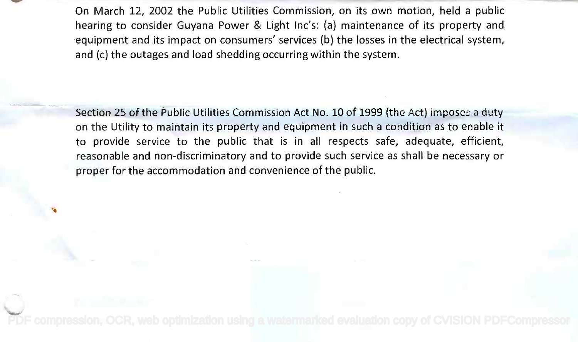On March 12, 2002 the Public Utilities Commission, on its own motion, held a public On March 12, 2002 the Public Utilities Commission, on its own motion, held a public hearing to consider Guyana Power & Light Inc's: (a) maintenance of its property and hearing to consider Guyana Power & Light Inc's: (a) maintenance of its property and equipment and its impact on consumers' services (b) the losses in the electrical system, equipment and its impact on consumers' services (b) the losses in the electrical system, and (c) the outages and load shedding occurring within the system. and (c) the outages and load shedding occurring within the system.

Section 25 of the Public Utilities Commission Act No. 10 of 1999 (the Act) imposes a duty *Section* 25 of the Public Utilities Commission Act No. 10 of 1999 (the Act) imposes a duty on the Utility to maintain its property and equipment in such a condition as to enable it to provide service to the public that is in all respects safe, adequate, efficient, to provide service to the public that is in all respects safe, adequate, efficient, reasonable and non-discriminatory and to provide such service as shall be necessary or reasonable and non-discriminatory and to provide such service as shall be necessary or proper for the accommodation and convenience of the public. proper for the accommodation and convenience of the public.

ti antico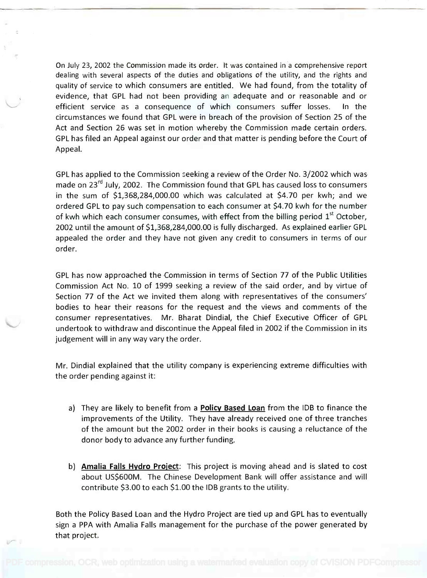On July 23, 2002 the Commission made its order. It was contained in a comprehensive report On July 23, 2002 the Commission made its order. It was contained in a comprehensive report dealing with several aspects of the duties and obligations of the utility, and the rights and dealing with several aspects of the duties and obligations of the utility, and the rights and quality of service to which consumers are entitled. We had found, from the totality of quality of service to which consumers are entitled. We had found, from the totality of evidence, that GPL had not been providing an adequate and or reasonable and or efficient service as a consequence of which consumers suffer losses. In the efficient service as a consequence of which consumers suffer losses. In the circumstances we found that GPL were in breach of the provision of Section 25 of the circumstances we found that GPL were in breach of the provision of Section 25 of the Act and Section 26 was set in motion whereby the Commission made certain orders. Act and Section 26 was set in motion whereby the Commission made certain orders. GPL has filed an Appeal against our order and that matter is pending before the Court of GPLhas filed an Appeal against our order and that matter is pending before the Court of Appeal. Appeal.

GPL has applied to the Commission seeking a review of the Order No. 3/2002 which was GPLhas applied to the Commission seeking a review of the Order No. 3/2002 which was made on 23<sup>rd</sup> July, 2002. The Commission found that GPL has caused loss to consumers in the sum of \$1,368,284,000.00 which was calculated at \$4.70 per kwh; and we in the sum of \$1,368,284,000.00 which was calculated at \$4.70 per kwh; and we ordered GPL to pay such compensation to each consumer at \$4.70 kwh for the number ordered GPLto pay such compensation to each consumer at \$4.70 kwh for the number of kwh which each consumer consumes, with effect from the billing period  $1^\mathrm{st}$  October, 2002 until the amount of \$1,368,284,000.00 is fully discharged. As explained earlier GPL 2002 until the amount of \$1,368,284,000.00 is fully discharged. As explained earlier GPL appealed the order and they have not given any credit to consumers in terms of our appealed the order and they have not given any credit to consumers in terms of our order. order.

GPL has now approached the Commission in terms of Section 77 of the Public Utilities GPL has now approached the Commission in terms of Section 77 of the Public Utilities Commission Act No. 10 of 1999 seeking a review of the said order, and by virtue of Commission Act No. 10 of 1999 seeking a review of the said order, and by virtue of Section 77 of the Act we invited them along with representatives of the consumers' Section 77 of the Act we invited them along with representatives of the consumers' bodies to hear their reasons for the request and the views and comments of the bodies to hear their reasons for the request and the views and comments of the consumer representatives. Mr. Bharat Dindial, the Chief Executive Officer of GPL consumer representatives. Mr. Bharat Dindial, the Chief Executive Officer of GPL undertook to withdraw and discontinue the Appeal filed in 2002 if the Commission in its undertook to withdraw and discontinue the Appeal filed in 2002 if the Commission in its judgement will in any way vary the order. judgement will in any way vary the order.

Mr. Dindial explained that the utility company is experiencing extreme difficulties with Mr. Dindial explained that the utility company is experiencing extreme difficulties with the order pending against it: the order pending against it:

- a) They are likely to benefit from a Policy Based Loan from the IDB to finance the a) They are likely to benefit from a **Policy Based Loan** from the lOB to finance the improvements of the Utility. They have already received one of three tranches improvements of the Utility. They have already received one of three tranches of the amount but the 2002 order in their books is causing a reluctance of the of the amount but the 2002 order in their books is causing a reluctance of the donor body to advance any further funding. donor body to advance any further funding.
- b) Amalia Falls Hydro Project: This project is moving ahead and is slated to cost b) **Amalia Falls Hydro Project:** This project is moving ahead and is slated to cost about US\$600M. The Chinese Development Bank will offer assistance and will about US\$600M. The Chinese Development Bank will offer assistance and will contribute \$3.00 to each \$1.00 the IDB grants to the utility. contribute \$3.00 to each \$1.00 the lOB grants to the utility.

Both the Policy Based Loan and the Hydro Project are tied up and GPL has to eventually Both the Policy Based Loan and the Hydro Project are tied up and GPLhas to eventually sign a PPA with Amalia Falls management for the purchase of the power generated by sign a PPA with Amalia Falls management for the purchase of the power generated by that project. that project.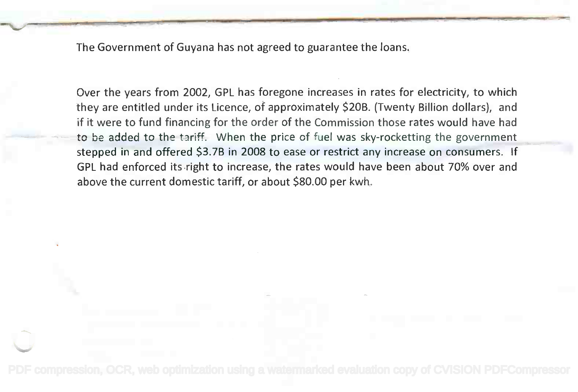The Government of Guyana has not agreed to guarantee the loans.

Over the years from 2002, GPL has foregone increases in rates for electricity, to which Over the years from 2002, GPL has foregone increases in rates for electricity, to which they are entitled under its Licence, of approximately \$20B. (Twenty Billion dollars), and they are entitled under its Licence, of approximately \$20B. (Twenty Billion dollars), and if it were to fund financing for the order of the Commission those rates would have had if it were to fund financing for the order of the Commission those rates would have had to be added to the tariff. When the price of fuel was sky-rocketting the government stepped in and offered \$3.7B in 2008 to ease or restrict any increase on consumers. If stepped in and offered \$3.7B in 2008 to ease or restrict any increase on consumers. If GPL had enforced its right to increase, the rates would have been about 70% over and GPL had enforced its right to increase, the rates would have been about 70% over and above the current domestic tariff, or about \$80.00 per kwh. above the current domestic tariff, or about \$80.00 per kwh.